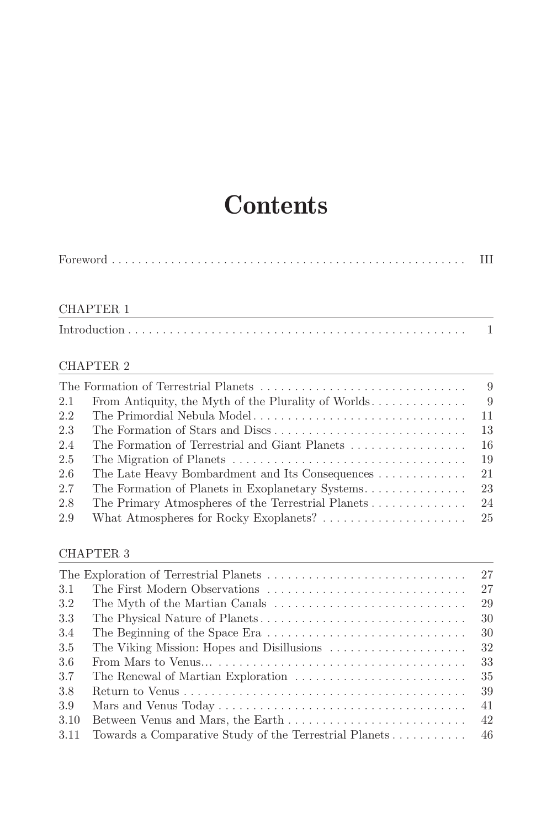# **Contents**

|--|

# CHAPTER 1

|--|--|--|--|--|--|--|--|

## CHAPTER 2

|     |                                                     | $\overline{9}$ |
|-----|-----------------------------------------------------|----------------|
| 2.1 | From Antiquity, the Myth of the Plurality of Worlds | - 9            |
| 2.2 |                                                     | -11            |
| 2.3 |                                                     |                |
| 2.4 |                                                     |                |
| 2.5 |                                                     | -19            |
| 2.6 | The Late Heavy Bombardment and Its Consequences     | 21             |
| 2.7 |                                                     |                |
| 2.8 |                                                     |                |
| 2.9 |                                                     |                |

#### CHAPTER 3

|      |                                                        | 27  |
|------|--------------------------------------------------------|-----|
| 3.1  |                                                        | 27  |
| 3.2  |                                                        | 29  |
| 3.3  |                                                        | 30  |
| 3.4  |                                                        | 30  |
| 3.5  |                                                        | 32  |
| 3.6  |                                                        | 33  |
| 3.7  | The Renewal of Martian Exploration                     | 35  |
| 3.8  |                                                        | 39  |
| 3.9  |                                                        | 41  |
| 3.10 |                                                        | 42  |
| 3.11 | Towards a Comparative Study of the Terrestrial Planets | -46 |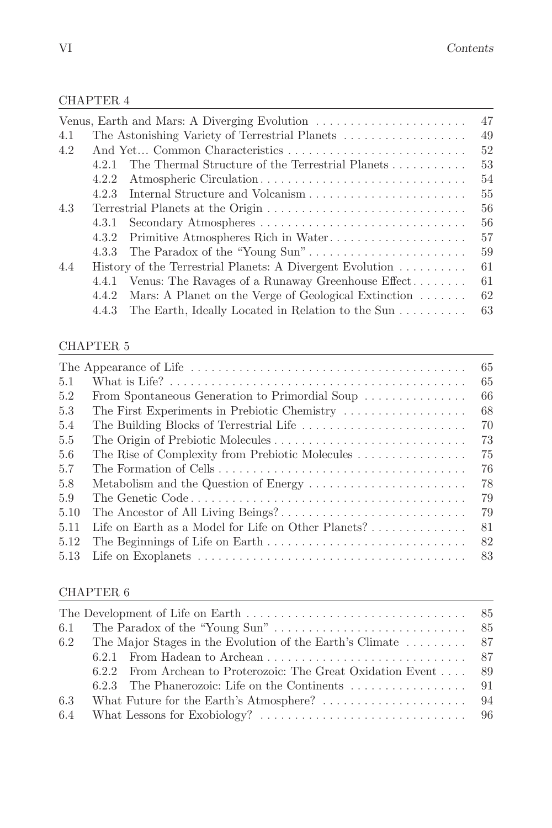#### CHAPTER 4

|                                                   | 47                                                                                                                                                                                                                                                                                                                                                                                  |
|---------------------------------------------------|-------------------------------------------------------------------------------------------------------------------------------------------------------------------------------------------------------------------------------------------------------------------------------------------------------------------------------------------------------------------------------------|
|                                                   | 49                                                                                                                                                                                                                                                                                                                                                                                  |
|                                                   | 52                                                                                                                                                                                                                                                                                                                                                                                  |
| The Thermal Structure of the Terrestrial Planets  | 53                                                                                                                                                                                                                                                                                                                                                                                  |
| Atmospheric Circulation                           | 54                                                                                                                                                                                                                                                                                                                                                                                  |
|                                                   | 55                                                                                                                                                                                                                                                                                                                                                                                  |
|                                                   | 56                                                                                                                                                                                                                                                                                                                                                                                  |
|                                                   | 56                                                                                                                                                                                                                                                                                                                                                                                  |
|                                                   | 57                                                                                                                                                                                                                                                                                                                                                                                  |
|                                                   | 59                                                                                                                                                                                                                                                                                                                                                                                  |
|                                                   | 61                                                                                                                                                                                                                                                                                                                                                                                  |
|                                                   | 61                                                                                                                                                                                                                                                                                                                                                                                  |
|                                                   | 62                                                                                                                                                                                                                                                                                                                                                                                  |
| The Earth, Ideally Located in Relation to the Sun | 63                                                                                                                                                                                                                                                                                                                                                                                  |
|                                                   | The Astonishing Variety of Terrestrial Planets<br>And Yet Common Characteristics<br>4.2.1<br>4.2.2<br>Terrestrial Planets at the Origin<br>4.3.2 Primitive Atmospheres Rich in Water<br>History of the Terrestrial Planets: A Divergent Evolution<br>4.4.1 Venus: The Ravages of a Runaway Greenhouse Effect<br>4.4.2 Mars: A Planet on the Verge of Geological Extinction<br>4.4.3 |

#### CHAPTER 5

|      |                                                                         | 65 |
|------|-------------------------------------------------------------------------|----|
| 5.1  |                                                                         | 65 |
| 5.2  | From Spontaneous Generation to Primordial Soup                          | 66 |
| 5.3  | The First Experiments in Prebiotic Chemistry                            | 68 |
| 5.4  |                                                                         | 70 |
| 5.5  |                                                                         | 73 |
| 5.6  | The Rise of Complexity from Prebiotic Molecules                         | 75 |
| 5.7  |                                                                         | 76 |
| 5.8  |                                                                         | 78 |
| 5.9  |                                                                         | 79 |
| 5.10 |                                                                         | 79 |
| 5.11 | Life on Earth as a Model for Life on Other Planets? $\dots \dots \dots$ | 81 |
| 5.12 |                                                                         | 82 |
| 5.13 |                                                                         |    |
|      |                                                                         |    |

#### CHAPTER 6

|  | 6.2.2 From Archean to Proterozoic: The Great Oxidation Event  89<br>6.2.3 The Phanerozoic: Life on the Continents $\dots \dots \dots \dots \dots$ 91 |
|--|------------------------------------------------------------------------------------------------------------------------------------------------------|